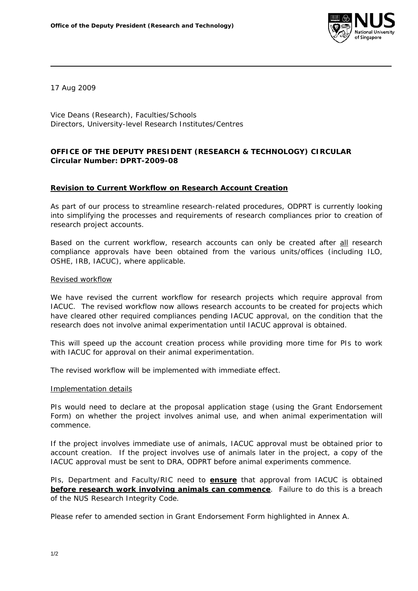

17 Aug 2009

Vice Deans (Research), Faculties/Schools Directors, University-level Research Institutes/Centres

## **OFFICE OF THE DEPUTY PRESIDENT (RESEARCH & TECHNOLOGY) CIRCULAR Circular Number: DPRT-2009-08**

## **Revision to Current Workflow on Research Account Creation**

As part of our process to streamline research-related procedures, ODPRT is currently looking into simplifying the processes and requirements of research compliances prior to creation of research project accounts.

Based on the current workflow, research accounts can only be created after all research compliance approvals have been obtained from the various units/offices (including ILO, OSHE, IRB, IACUC), where applicable.

## Revised workflow

We have revised the current workflow for research projects which require approval from IACUC. The revised workflow now allows research accounts to be created for projects which have cleared other required compliances pending IACUC approval, on the condition that the research does not involve animal experimentation until IACUC approval is obtained.

This will speed up the account creation process while providing more time for PIs to work with IACUC for approval on their animal experimentation.

The revised workflow will be implemented with immediate effect.

## Implementation details

PIs would need to declare at the proposal application stage (using the Grant Endorsement Form) on whether the project involves animal use, and when animal experimentation will commence.

If the project involves immediate use of animals, IACUC approval must be obtained *prior to* account creation. If the project involves use of animals later in the project, a copy of the IACUC approval must be sent to DRA, ODPRT before animal experiments commence.

PIs, Department and Faculty/RIC need to **ensure** that approval from IACUC is obtained **before research work involving animals can commence**. Failure to do this is a breach of the NUS Research Integrity Code.

Please refer to amended section in Grant Endorsement Form highlighted in Annex A.